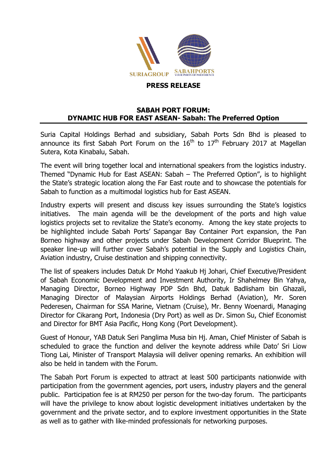

## **SABAH PORT FORUM: DYNAMIC HUB FOR EAST ASEAN- Sabah: The Preferred Option**

Suria Capital Holdings Berhad and subsidiary, Sabah Ports Sdn Bhd is pleased to announce its first Sabah Port Forum on the  $16<sup>th</sup>$  to  $17<sup>th</sup>$  February 2017 at Magellan Sutera, Kota Kinabalu, Sabah.

The event will bring together local and international speakers from the logistics industry. Themed "Dynamic Hub for East ASEAN: Sabah – The Preferred Option", is to highlight the State's strategic location along the Far East route and to showcase the potentials for Sabah to function as a multimodal logistics hub for East ASEAN.

Industry experts will present and discuss key issues surrounding the State's logistics initiatives. The main agenda will be the development of the ports and high value logistics projects set to revitalize the State's economy. Among the key state projects to be highlighted include Sabah Ports' Sapangar Bay Container Port expansion, the Pan Borneo highway and other projects under Sabah Development Corridor Blueprint. The speaker line-up will further cover Sabah's potential in the Supply and Logistics Chain, Aviation industry, Cruise destination and shipping connectivity.

The list of speakers includes Datuk Dr Mohd Yaakub Hj Johari, Chief Executive/President of Sabah Economic Development and Investment Authority, Ir Shahelmey Bin Yahya, Managing Director, Borneo Highway PDP Sdn Bhd, Datuk Badlisham bin Ghazali, Managing Director of Malaysian Airports Holdings Berhad (Aviation), Mr. Soren Pederesen, Chairman for SSA Marine, Vietnam (Cruise), Mr. Benny Woenardi, Managing Director for Cikarang Port, Indonesia (Dry Port) as well as Dr. Simon Su, Chief Economist and Director for BMT Asia Pacific, Hong Kong (Port Development).

Guest of Honour, YAB Datuk Seri Panglima Musa bin Hj. Aman, Chief Minister of Sabah is scheduled to grace the function and deliver the keynote address while Dato' Sri Liow Tiong Lai, Minister of Transport Malaysia will deliver opening remarks. An exhibition will also be held in tandem with the Forum.

The Sabah Port Forum is expected to attract at least 500 participants nationwide with participation from the government agencies, port users, industry players and the general public. Participation fee is at RM250 per person for the two-day forum. The participants will have the privilege to know about logistic development initiatives undertaken by the government and the private sector, and to explore investment opportunities in the State as well as to gather with like-minded professionals for networking purposes.